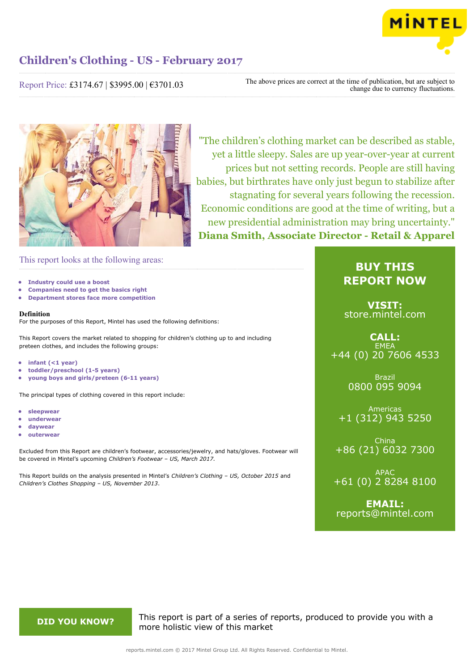

Report Price: £3174.67 | \$3995.00 | €3701.03

The above prices are correct at the time of publication, but are subject to change due to currency fluctuations.



"The children's clothing market can be described as stable, yet a little sleepy. Sales are up year-over-year at current prices but not setting records. People are still having babies, but birthrates have only just begun to stabilize after stagnating for several years following the recession. Economic conditions are good at the time of writing, but a new presidential administration may bring uncertainty." **Diana Smith, Associate Director - Retail & Apparel**

This report looks at the following areas:

- **• Industry could use a boost**
- **• Companies need to get the basics right**
- **• Department stores face more competition**

#### **Definition**

For the purposes of this Report, Mintel has used the following definitions:

This Report covers the market related to shopping for children's clothing up to and including preteen clothes, and includes the following groups:

- **• infant (<1 year)**
- **• toddler/preschool (1-5 years)**
- **• young boys and girls/preteen (6-11 years)**

The principal types of clothing covered in this report include:

- **• sleepwear**
- **• underwear**
- **• daywear**
- **• outerwear**

Excluded from this Report are children's footwear, accessories/jewelry, and hats/gloves. Footwear will be covered in Mintel's upcoming *Children's Footwear – US, March 2017.*

This Report builds on the analysis presented in Mintel's *Children's Clothing – US, October 2015* and *Children's Clothes Shopping – US, November 2013*.

## **BUY THIS REPORT NOW**

**VISIT:** [store.mintel.com](http://reports.mintel.com//display/store/793079/)

### **CALL: EMEA** +44 (0) 20 7606 4533

Brazil 0800 095 9094

Americas +1 (312) 943 5250

China +86 (21) 6032 7300

APAC +61 (0) 2 8284 8100

**EMAIL:** [reports@mintel.com](mailto:reports@mintel.com)

**DID YOU KNOW?** This report is part of a series of reports, produced to provide you with a more holistic view of this market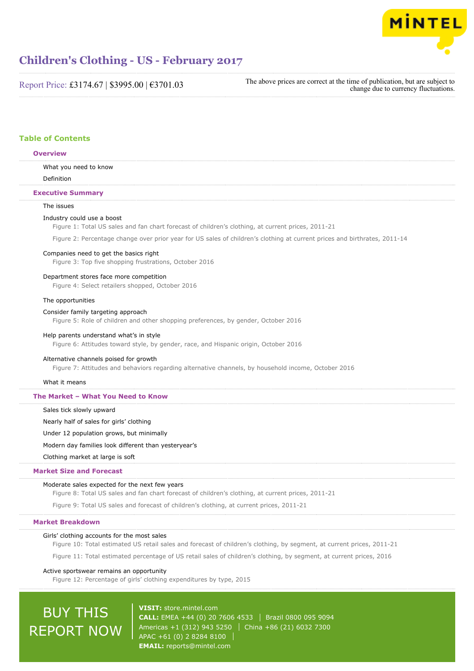

Report Price: £3174.67 | \$3995.00 | €3701.03

The above prices are correct at the time of publication, but are subject to change due to currency fluctuations.

### **Table of Contents**

#### **Overview**

What you need to know

Definition

#### **Executive Summary**

#### The issues

#### Industry could use a boost

Figure 1: Total US sales and fan chart forecast of children's clothing, at current prices, 2011-21

Figure 2: Percentage change over prior year for US sales of children's clothing at current prices and birthrates, 2011-14

#### Companies need to get the basics right

Figure 3: Top five shopping frustrations, October 2016

#### Department stores face more competition

Figure 4: Select retailers shopped, October 2016

#### The opportunities

#### Consider family targeting approach

Figure 5: Role of children and other shopping preferences, by gender, October 2016

#### Help parents understand what's in style

Figure 6: Attitudes toward style, by gender, race, and Hispanic origin, October 2016

#### Alternative channels poised for growth

Figure 7: Attitudes and behaviors regarding alternative channels, by household income, October 2016

#### What it means

#### **The Market – What You Need to Know**

Sales tick slowly upward

Nearly half of sales for girls' clothing

Under 12 population grows, but minimally

Modern day families look different than yesteryear's

## Clothing market at large is soft

#### **Market Size and Forecast**

#### Moderate sales expected for the next few years

Figure 8: Total US sales and fan chart forecast of children's clothing, at current prices, 2011-21

Figure 9: Total US sales and forecast of children's clothing, at current prices, 2011-21

#### **Market Breakdown**

#### Girls' clothing accounts for the most sales

Figure 10: Total estimated US retail sales and forecast of children's clothing, by segment, at current prices, 2011-21

Figure 11: Total estimated percentage of US retail sales of children's clothing, by segment, at current prices, 2016

#### Active sportswear remains an opportunity

Figure 12: Percentage of girls' clothing expenditures by type, 2015

# BUY THIS REPORT NOW

**VISIT:** [store.mintel.com](http://reports.mintel.com//display/store/793079/) **CALL:** EMEA +44 (0) 20 7606 4533 Brazil 0800 095 9094 Americas +1 (312) 943 5250 | China +86 (21) 6032 7300 APAC +61 (0) 2 8284 8100 **EMAIL:** [reports@mintel.com](mailto:reports@mintel.com)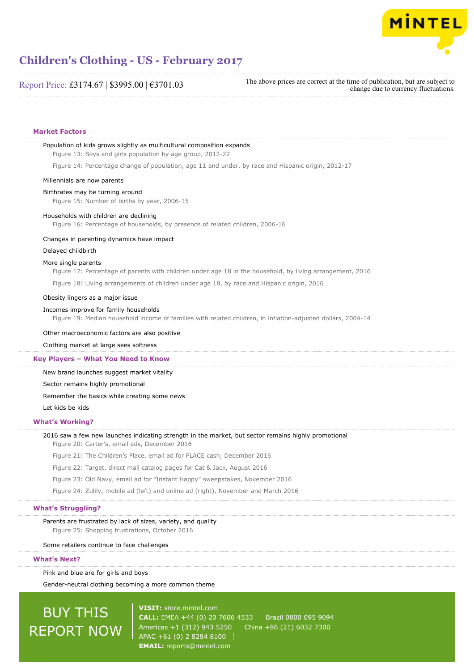

### Report Price: £3174.67 | \$3995.00 | €3701.03

The above prices are correct at the time of publication, but are subject to change due to currency fluctuations.

#### **Market Factors**

## Population of kids grows slightly as multicultural composition expands Figure 13: Boys and girls population by age group, 2012-22 Figure 14: Percentage change of population, age 11 and under, by race and Hispanic origin, 2012-17 Millennials are now parents Birthrates may be turning around Figure 15: Number of births by year, 2006-15 Households with children are declining Figure 16: Percentage of households, by presence of related children, 2006-16 Changes in parenting dynamics have impact Delayed childbirth More single parents Figure 17: Percentage of parents with children under age 18 in the household, by living arrangement, 2016 Figure 18: Living arrangements of children under age 18, by race and Hispanic origin, 2016 Obesity lingers as a major issue Incomes improve for family households Figure 19: Median household income of families with related children, in inflation-adjusted dollars, 2004-14 Other macroeconomic factors are also positive Clothing market at large sees softness New brand launches suggest market vitality Sector remains highly promotional Remember the basics while creating some news Let kids be kids 2016 saw a few new launches indicating strength in the market, but sector remains highly promotional Figure 20: Carter's, email ads, December 2016 Figure 21: The Children's Place, email ad for PLACE cash, December 2016 Figure 22: Target, direct mail catalog pages for Cat & Jack, August 2016 **Key Players – What You Need to Know What's Working?**

Figure 23: Old Navy, email ad for "Instant Happy" sweepstakes, November 2016

Figure 24: Zulily, mobile ad (left) and online ad (right), November and March 2016

#### **What's Struggling?**

Parents are frustrated by lack of sizes, variety, and quality Figure 25: Shopping frustrations, October 2016

Some retailers continue to face challenges

#### **What's Next?**

Pink and blue are for girls and boys

Gender-neutral clothing becoming a more common theme

# BUY THIS REPORT NOW

**VISIT:** [store.mintel.com](http://reports.mintel.com//display/store/793079/) **CALL:** EMEA +44 (0) 20 7606 4533 Brazil 0800 095 9094 Americas +1 (312) 943 5250 China +86 (21) 6032 7300 APAC +61 (0) 2 8284 8100 **EMAIL:** [reports@mintel.com](mailto:reports@mintel.com)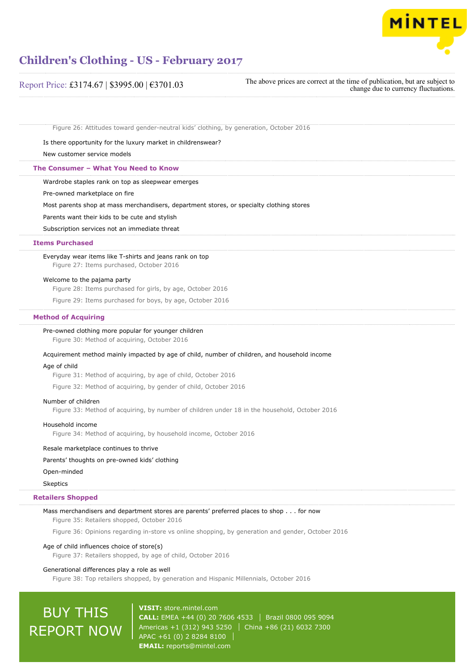

| Report Price: £3174.67   \$3995.00   €3701.03                                                        | The above prices are correct at the time of publication, but are subject to<br>change due to currency fluctuations. |
|------------------------------------------------------------------------------------------------------|---------------------------------------------------------------------------------------------------------------------|
| Figure 26: Attitudes toward gender-neutral kids' clothing, by generation, October 2016               |                                                                                                                     |
| Is there opportunity for the luxury market in childrenswear?                                         |                                                                                                                     |
| New customer service models                                                                          |                                                                                                                     |
| The Consumer - What You Need to Know                                                                 |                                                                                                                     |
| Wardrobe staples rank on top as sleepwear emerges                                                    |                                                                                                                     |
| Pre-owned marketplace on fire                                                                        |                                                                                                                     |
| Most parents shop at mass merchandisers, department stores, or specialty clothing stores             |                                                                                                                     |
| Parents want their kids to be cute and stylish                                                       |                                                                                                                     |
| Subscription services not an immediate threat                                                        |                                                                                                                     |
| <b>Items Purchased</b>                                                                               |                                                                                                                     |
| Everyday wear items like T-shirts and jeans rank on top<br>Figure 27: Items purchased, October 2016  |                                                                                                                     |
| Welcome to the pajama party                                                                          |                                                                                                                     |
| Figure 28: Items purchased for girls, by age, October 2016                                           |                                                                                                                     |
| Figure 29: Items purchased for boys, by age, October 2016                                            |                                                                                                                     |
| <b>Method of Acquiring</b>                                                                           |                                                                                                                     |
| Pre-owned clothing more popular for younger children<br>Figure 30: Method of acquiring, October 2016 |                                                                                                                     |
| Acquirement method mainly impacted by age of child, number of children, and household income         |                                                                                                                     |
| Age of child                                                                                         |                                                                                                                     |
| Figure 31: Method of acquiring, by age of child, October 2016                                        |                                                                                                                     |

Figure 32: Method of acquiring, by gender of child, October 2016

#### Number of children

Figure 33: Method of acquiring, by number of children under 18 in the household, October 2016

#### Household income

Figure 34: Method of acquiring, by household income, October 2016

### Resale marketplace continues to thrive

#### Parents' thoughts on pre-owned kids' clothing

Open-minded

### Skeptics

### **Retailers Shopped**

Mass merchandisers and department stores are parents' preferred places to shop . . . for now Figure 35: Retailers shopped, October 2016

Figure 36: Opinions regarding in-store vs online shopping, by generation and gender, October 2016

### Age of child influences choice of store(s)

Figure 37: Retailers shopped, by age of child, October 2016

#### Generational differences play a role as well

Figure 38: Top retailers shopped, by generation and Hispanic Millennials, October 2016

# BUY THIS REPORT NOW

**VISIT:** [store.mintel.com](http://reports.mintel.com//display/store/793079/) **CALL:** EMEA +44 (0) 20 7606 4533 | Brazil 0800 095 9094 Americas +1 (312) 943 5250 | China +86 (21) 6032 7300 APAC +61 (0) 2 8284 8100 **EMAIL:** [reports@mintel.com](mailto:reports@mintel.com)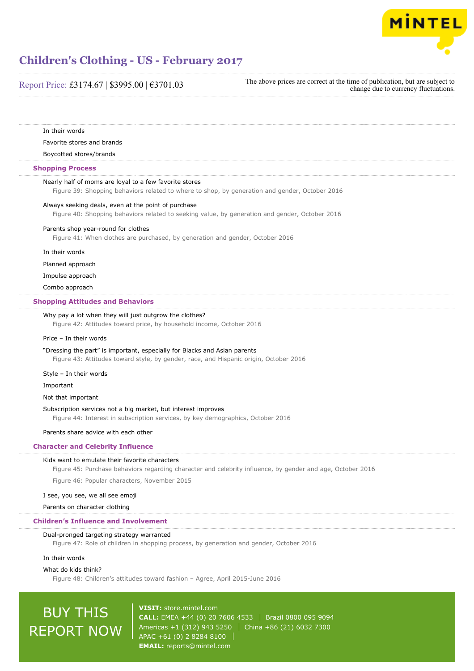

### Report Price: £3174.67 | \$3995.00 | €3701.03

In their words Favorite stores and brands Boycotted stores/brands Nearly half of moms are loyal to a few favorite stores Figure 39: Shopping behaviors related to where to shop, by generation and gender, October 2016 Always seeking deals, even at the point of purchase Figure 40: Shopping behaviors related to seeking value, by generation and gender, October 2016 Parents shop year-round for clothes Figure 41: When clothes are purchased, by generation and gender, October 2016 In their words Planned approach Impulse approach Combo approach Why pay a lot when they will just outgrow the clothes? Figure 42: Attitudes toward price, by household income, October 2016 Price – In their words "Dressing the part" is important, especially for Blacks and Asian parents Figure 43: Attitudes toward style, by gender, race, and Hispanic origin, October 2016 Style – In their words Important Not that important Subscription services not a big market, but interest improves Figure 44: Interest in subscription services, by key demographics, October 2016 Parents share advice with each other Kids want to emulate their favorite characters Figure 45: Purchase behaviors regarding character and celebrity influence, by gender and age, October 2016 Figure 46: Popular characters, November 2015 I see, you see, we all see emoji Parents on character clothing Dual-pronged targeting strategy warranted Figure 47: Role of children in shopping process, by generation and gender, October 2016 In their words **Shopping Process Shopping Attitudes and Behaviors Character and Celebrity Influence Children's Influence and Involvement**

What do kids think?

Figure 48: Children's attitudes toward fashion – Agree, April 2015-June 2016

# BUY THIS REPORT NOW

**VISIT:** [store.mintel.com](http://reports.mintel.com//display/store/793079/) **CALL:** EMEA +44 (0) 20 7606 4533 Brazil 0800 095 9094 Americas +1 (312) 943 5250 | China +86 (21) 6032 7300 APAC +61 (0) 2 8284 8100 **EMAIL:** [reports@mintel.com](mailto:reports@mintel.com)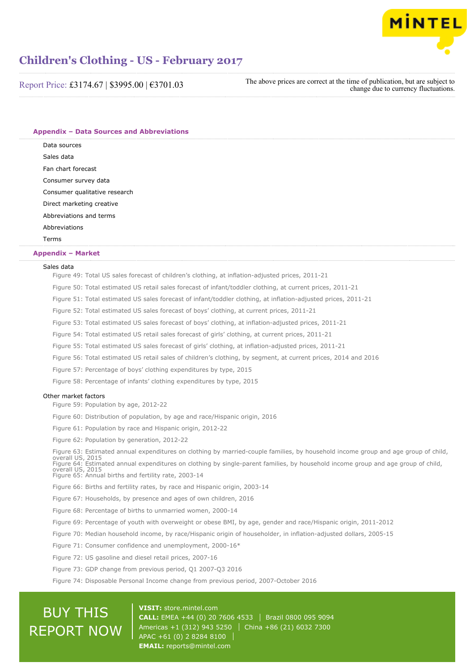

Report Price: £3174.67 | \$3995.00 | €3701.03

The above prices are correct at the time of publication, but are subject to change due to currency fluctuations.

**Appendix – Data Sources and Abbreviations**

Data sources Sales data Fan chart forecast Consumer survey data Consumer qualitative research Direct marketing creative

Abbreviations and terms

**Abbreviations** 

#### Terms

#### **Appendix – Market**

#### Sales data

Figure 49: Total US sales forecast of children's clothing, at inflation-adjusted prices, 2011-21

Figure 50: Total estimated US retail sales forecast of infant/toddler clothing, at current prices, 2011-21

Figure 51: Total estimated US sales forecast of infant/toddler clothing, at inflation-adjusted prices, 2011-21

Figure 52: Total estimated US sales forecast of boys' clothing, at current prices, 2011-21

Figure 53: Total estimated US sales forecast of boys' clothing, at inflation-adjusted prices, 2011-21

Figure 54: Total estimated US retail sales forecast of girls' clothing, at current prices, 2011-21

Figure 55: Total estimated US sales forecast of girls' clothing, at inflation-adjusted prices, 2011-21

Figure 56: Total estimated US retail sales of children's clothing, by segment, at current prices, 2014 and 2016

Figure 57: Percentage of boys' clothing expenditures by type, 2015

Figure 58: Percentage of infants' clothing expenditures by type, 2015

#### Other market factors

Figure 59: Population by age, 2012-22

Figure 60: Distribution of population, by age and race/Hispanic origin, 2016

Figure 61: Population by race and Hispanic origin, 2012-22

Figure 62: Population by generation, 2012-22

Figure 63: Estimated annual expenditures on clothing by married-couple families, by household income group and age group of child, overall US, 2015 Figure 64: Estimated annual expenditures on clothing by single-parent families, by household income group and age group of child, overall US, 2015

Figure 65: Annual births and fertility rate, 2003-14

Figure 66: Births and fertility rates, by race and Hispanic origin, 2003-14

Figure 67: Households, by presence and ages of own children, 2016

Figure 68: Percentage of births to unmarried women, 2000-14

Figure 69: Percentage of youth with overweight or obese BMI, by age, gender and race/Hispanic origin, 2011-2012

Figure 70: Median household income, by race/Hispanic origin of householder, in inflation-adjusted dollars, 2005-15

Figure 71: Consumer confidence and unemployment, 2000-16\*

Figure 72: US gasoline and diesel retail prices, 2007-16

Figure 73: GDP change from previous period, Q1 2007-Q3 2016

Figure 74: Disposable Personal Income change from previous period, 2007-October 2016

# BUY THIS REPORT NOW

**VISIT:** [store.mintel.com](http://reports.mintel.com//display/store/793079/) **CALL:** EMEA +44 (0) 20 7606 4533 Brazil 0800 095 9094 Americas +1 (312) 943 5250 | China +86 (21) 6032 7300 APAC +61 (0) 2 8284 8100 **EMAIL:** [reports@mintel.com](mailto:reports@mintel.com)